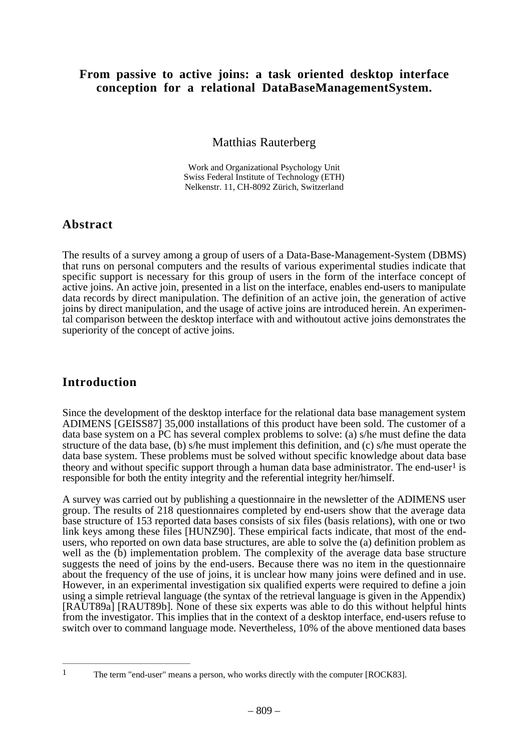#### **From passive to active joins: a task oriented desktop interface conception for a relational DataBaseManagementSystem.**

Matthias Rauterberg

Work and Organizational Psychology Unit Swiss Federal Institute of Technology (ETH) Nelkenstr. 11, CH-8092 Zürich, Switzerland

#### **Abstract**

The results of a survey among a group of users of a Data-Base-Management-System (DBMS) that runs on personal computers and the results of various experimental studies indicate that specific support is necessary for this group of users in the form of the interface concept of active joins. An active join, presented in a list on the interface, enables end-users to manipulate data records by direct manipulation. The definition of an active join, the generation of active joins by direct manipulation, and the usage of active joins are introduced herein. An experimental comparison between the desktop interface with and withoutout active joins demonstrates the superiority of the concept of active joins.

### **Introduction**

Since the development of the desktop interface for the relational data base management system ADIMENS [GEISS87] 35,000 installations of this product have been sold. The customer of a data base system on a PC has several complex problems to solve: (a) s/he must define the data structure of the data base, (b) s/he must implement this definition, and (c) s/he must operate the data base system. These problems must be solved without specific knowledge about data base theory and without specific support through a human data base administrator. The end-user<sup>1</sup> is responsible for both the entity integrity and the referential integrity her/himself.

A survey was carried out by publishing a questionnaire in the newsletter of the ADIMENS user group. The results of 218 questionnaires completed by end-users show that the average data base structure of 153 reported data bases consists of six files (basis relations), with one or two link keys among these files [HUNZ90]. These empirical facts indicate, that most of the endusers, who reported on own data base structures, are able to solve the (a) definition problem as well as the  $(b)$  implementation problem. The complexity of the average data base structure suggests the need of joins by the end-users. Because there was no item in the questionnaire about the frequency of the use of joins, it is unclear how many joins were defined and in use. However, in an experimental investigation six qualified experts were required to define a join using a simple retrieval language (the syntax of the retrieval language is given in the Appendix) [RAUT89a] [RAUT89b]. None of these six experts was able to do this without helpful hints from the investigator. This implies that in the context of a desktop interface, end-users refuse to switch over to command language mode. Nevertheless, 10% of the above mentioned data bases

<sup>&</sup>lt;sup>1</sup> The term "end-user" means a person, who works directly with the computer [ROCK83].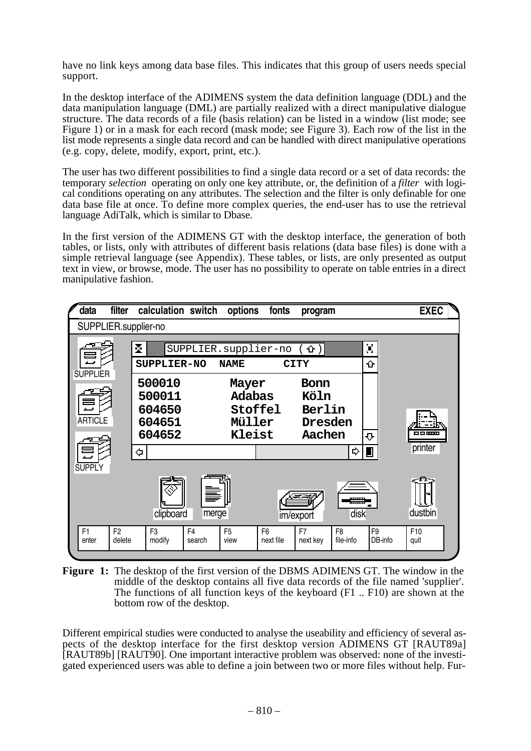have no link keys among data base files. This indicates that this group of users needs special support.

In the desktop interface of the ADIMENS system the data definition language (DDL) and the data manipulation language (DML) are partially realized with a direct manipulative dialogue structure. The data records of a file (basis relation) can be listed in a window (list mode; see Figure 1) or in a mask for each record (mask mode; see Figure 3). Each row of the list in the list mode represents a single data record and can be handled with direct manipulative operations (e.g. copy, delete, modify, export, print, etc.).

The user has two different possibilities to find a single data record or a set of data records: the temporary *selection* operating on only one key attribute, or, the definition of a *filter* with logical conditions operating on any attributes. The selection and the filter is only definable for one data base file at once. To define more complex queries, the end-user has to use the retrieval language AdiTalk, which is similar to Dbase.

In the first version of the ADIMENS GT with the desktop interface, the generation of both tables, or lists, only with attributes of different basis relations (data base files) is done with a simple retrieval language (see Appendix). These tables, or lists, are only presented as output text in view, or browse, mode. The user has no possibility to operate on table entries in a direct manipulative fashion.



**Figure 1:** The desktop of the first version of the DBMS ADIMENS GT. The window in the middle of the desktop contains all five data records of the file named 'supplier'. The functions of all function keys of the keyboard (F1 .. F10) are shown at the bottom row of the desktop.

Different empirical studies were conducted to analyse the useability and efficiency of several aspects of the desktop interface for the first desktop version ADIMENS GT [RAUT89a] [RAUT89b] [RAUT90]. One important interactive problem was observed: none of the investigated experienced users was able to define a join between two or more files without help. Fur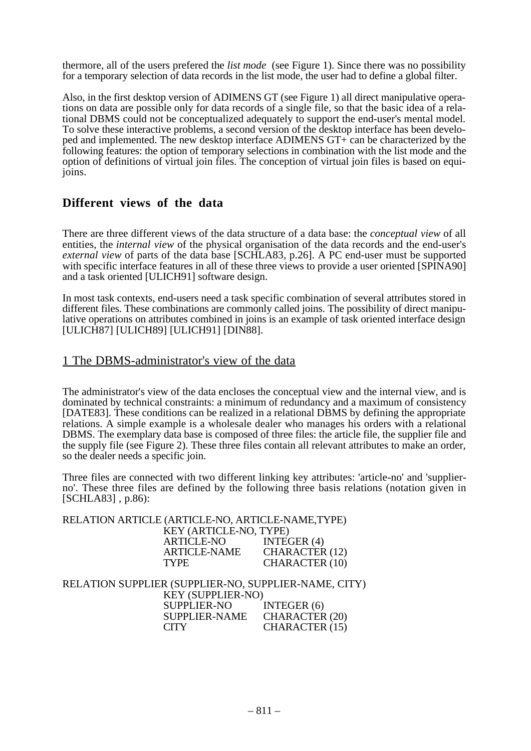thermore, all of the users prefered the *list mode* (see Figure 1). Since there was no possibility for a temporary selection of data records in the list mode, the user had to define a global filter.

Also, in the first desktop version of ADIMENS GT (see Figure 1) all direct manipulative operations on data are possible only for data records of a single file, so that the basic idea of a relational DBMS could not be conceptualized adequately to support the end-user's mental model. To solve these interactive problems, a second version of the desktop interface has been developed and implemented. The new desktop interface ADIMENS GT+ can be characterized by the following features: the option of temporary selections in combination with the list mode and the option of definitions of virtual join files. The conception of virtual join files is based on equijoins.

#### **Different views of the data**

There are three different views of the data structure of a data base: the *conceptual view* of all entities, the *internal view* of the physical organisation of the data records and the end-user's *external view* of parts of the data base [SCHLA83, p.26]. A PC end-user must be supported with specific interface features in all of these three views to provide a user oriented [SPINA90] and a task oriented [ULICH91] software design.

In most task contexts, end-users need a task specific combination of several attributes stored in different files. These combinations are commonly called joins. The possibility of direct manipulative operations on attributes combined in joins is an example of task oriented interface design [ULICH87] [ULICH89] [ULICH91] [DIN88].

#### 1 The DBMS-administrator's view of the data

The administrator's view of the data encloses the conceptual view and the internal view, and is dominated by technical constraints: a minimum of redundancy and a maximum of consistency [DATE83]. These conditions can be realized in a relational DBMS by defining the appropriate relations. A simple example is a wholesale dealer who manages his orders with a relational DBMS. The exemplary data base is composed of three files: the article file, the supplier file and the supply file (see Figure 2). These three files contain all relevant attributes to make an order, so the dealer needs a specific join.

Three files are connected with two different linking key attributes: 'article-no' and 'supplierno'. These three files are defined by the following three basis relations (notation given in [SCHLA83] , p.86):

|                                                      | RELATION ARTICLE (ARTICLE-NO, ARTICLE-NAME, TYPE) |                       |  |  |  |
|------------------------------------------------------|---------------------------------------------------|-----------------------|--|--|--|
|                                                      | KEY (ARTICLE-NO, TYPE)                            |                       |  |  |  |
|                                                      | <b>ARTICLE-NO</b>                                 | INTEGER $(4)$         |  |  |  |
|                                                      | ARTICLE-NAME CHARACTER (12)                       |                       |  |  |  |
|                                                      | <b>TYPE</b>                                       | <b>CHARACTER (10)</b> |  |  |  |
|                                                      |                                                   |                       |  |  |  |
| RELATION SUPPLIER (SUPPLIER-NO, SUPPLIER-NAME, CITY) |                                                   |                       |  |  |  |
|                                                      | <b>KEY (SUPPLIER-NO)</b>                          |                       |  |  |  |
|                                                      |                                                   |                       |  |  |  |
|                                                      | <b>SUPPLIER-NO</b>                                | INTEGER (6)           |  |  |  |
|                                                      | SUPPLIER-NAME CHARACTER (20)                      |                       |  |  |  |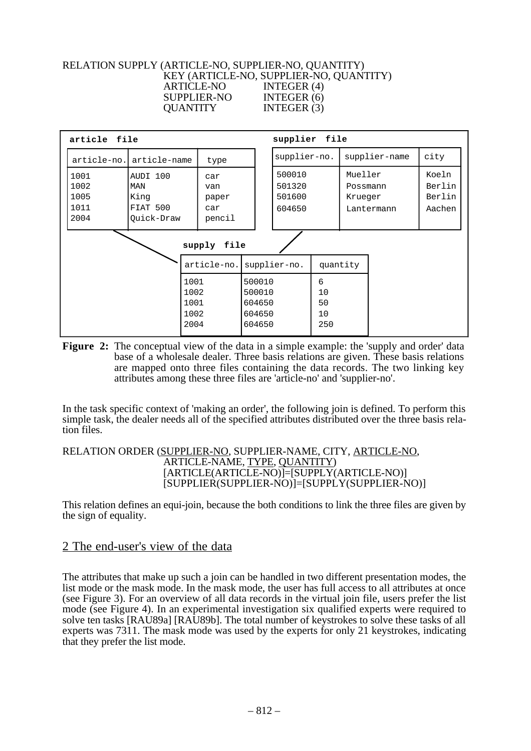#### RELATION SUPPLY (ARTICLE-NO, SUPPLIER-NO, QUANTITY) KEY (ARTICLE-NO, SUPPLIER-NO, QUANTITY) ARTICLE-NO INTEGER (4) SUPPLIER-NO INTEGER (6) QUANTITY INTEGER (3)



**Figure 2:** The conceptual view of the data in a simple example: the 'supply and order' data base of a wholesale dealer. Three basis relations are given. These basis relations are mapped onto three files containing the data records. The two linking key attributes among these three files are 'article-no' and 'supplier-no'.

In the task specific context of 'making an order', the following join is defined. To perform this simple task, the dealer needs all of the specified attributes distributed over the three basis relation files.

#### RELATION ORDER (SUPPLIER-NO, SUPPLIER-NAME, CITY, ARTICLE-NO, ARTICLE-NAME, TYPE, QUANTITY) [ARTICLE(ARTICLE-NO)]=[SUPPLY(ARTICLE-NO)] [SUPPLIER(SUPPLIER-NO)]=[SUPPLY(SUPPLIER-NO)]

This relation defines an equi-join, because the both conditions to link the three files are given by the sign of equality.

#### 2 The end-user's view of the data

The attributes that make up such a join can be handled in two different presentation modes, the list mode or the mask mode. In the mask mode, the user has full access to all attributes at once (see Figure 3). For an overview of all data records in the virtual join file, users prefer the list mode (see Figure 4). In an experimental investigation six qualified experts were required to solve ten tasks [RAU89a] [RAU89b]. The total number of keystrokes to solve these tasks of all experts was 7311. The mask mode was used by the experts for only 21 keystrokes, indicating that they prefer the list mode.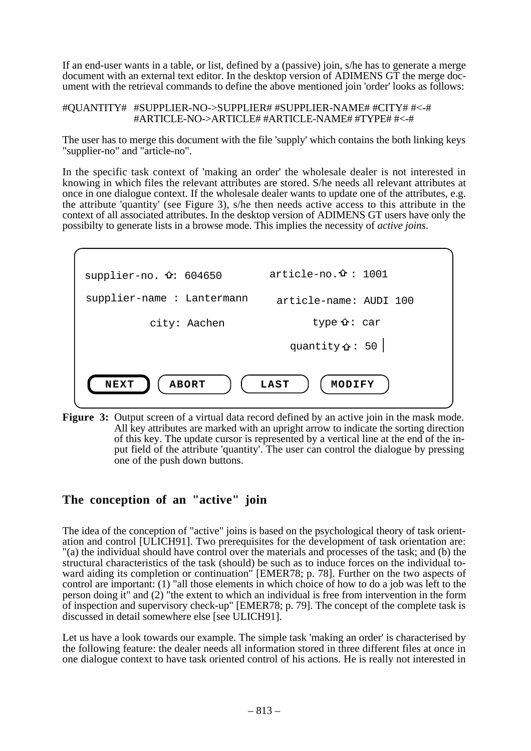If an end-user wants in a table, or list, defined by a (passive) join, s/he has to generate a merge document with an external text editor. In the desktop version of ADIMENS GT the merge document with the retrieval commands to define the above mentioned join 'order' looks as follows:

#QUANTITY# #SUPPLIER-NO->SUPPLIER# #SUPPLIER-NAME# #CITY# #<-# #ARTICLE-NO->ARTICLE# #ARTICLE-NAME# #TYPE# #<-#

The user has to merge this document with the file 'supply' which contains the both linking keys "supplier-no" and "article-no".

In the specific task context of 'making an order' the wholesale dealer is not interested in knowing in which files the relevant attributes are stored. S/he needs all relevant attributes at once in one dialogue context. If the wholesale dealer wants to update one of the attributes, e.g. the attribute 'quantity' (see Figure 3), s/he then needs active access to this attribute in the context of all associated attributes. In the desktop version of ADIMENS GT users have only the possibilty to generate lists in a browse mode. This implies the necessity of *active joins*.



**Figure 3:** Output screen of a virtual data record defined by an active join in the mask mode. All key attributes are marked with an upright arrow to indicate the sorting direction of this key. The update cursor is represented by a vertical line at the end of the input field of the attribute 'quantity'. The user can control the dialogue by pressing one of the push down buttons.

#### **The conception of an "active" join**

The idea of the conception of "active" joins is based on the psychological theory of task orientation and control [ULICH91]. Two prerequisites for the development of task orientation are: "(a) the individual should have control over the materials and processes of the task; and (b) the structural characteristics of the task (should) be such as to induce forces on the individual toward aiding its completion or continuation" [EMER78; p. 78]. Further on the two aspects of control are important: (1) "all those elements in which choice of how to do a job was left to the person doing it" and (2) "the extent to which an individual is free from intervention in the form of inspection and supervisory check-up" [EMER78; p. 79]. The concept of the complete task is discussed in detail somewhere else [see ULICH91].

Let us have a look towards our example. The simple task 'making an order' is characterised by the following feature: the dealer needs all information stored in three different files at once in one dialogue context to have task oriented control of his actions. He is really not interested in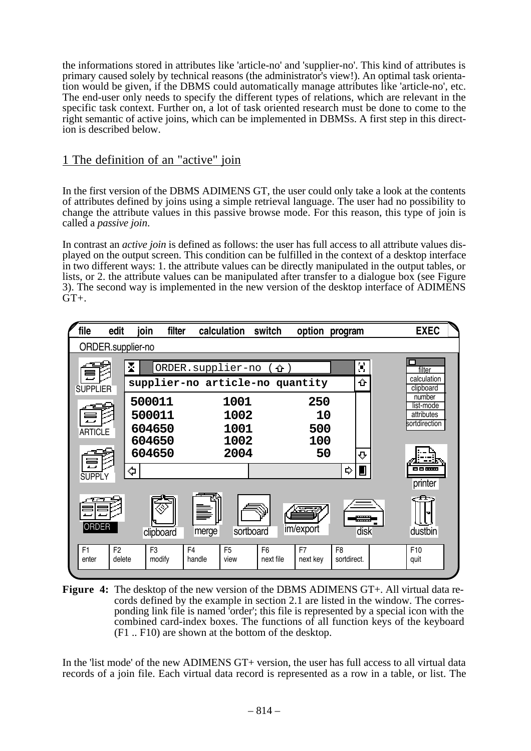the informations stored in attributes like 'article-no' and 'supplier-no'. This kind of attributes is primary caused solely by technical reasons (the administrator's view!). An optimal task orientation would be given, if the DBMS could automatically manage attributes like 'article-no', etc. The end-user only needs to specify the different types of relations, which are relevant in the specific task context. Further on, a lot of task oriented research must be done to come to the right semantic of active joins, which can be implemented in DBMSs. A first step in this direction is described below.

#### 1 The definition of an "active" join

In the first version of the DBMS ADIMENS GT, the user could only take a look at the contents of attributes defined by joins using a simple retrieval language. The user had no possibility to change the attribute values in this passive browse mode. For this reason, this type of join is called a *passive join*.

In contrast an *active join* is defined as follows: the user has full access to all attribute values displayed on the output screen. This condition can be fulfilled in the context of a desktop interface in two different ways: 1. the attribute values can be directly manipulated in the output tables, or lists, or 2. the attribute values can be manipulated after transfer to a dialogue box (see Figure 3). The second way is implemented in the new version of the desktop interface of ADIMENS  $GT +$ .



**Figure 4:** The desktop of the new version of the DBMS ADIMENS GT+. All virtual data records defined by the example in section 2.1 are listed in the window. The corresponding link file is named 'order'; this file is represented by a special icon with the combined card-index boxes. The functions of all function keys of the keyboard (F1 .. F10) are shown at the bottom of the desktop.

In the 'list mode' of the new ADIMENS GT+ version, the user has full access to all virtual data records of a join file. Each virtual data record is represented as a row in a table, or list. The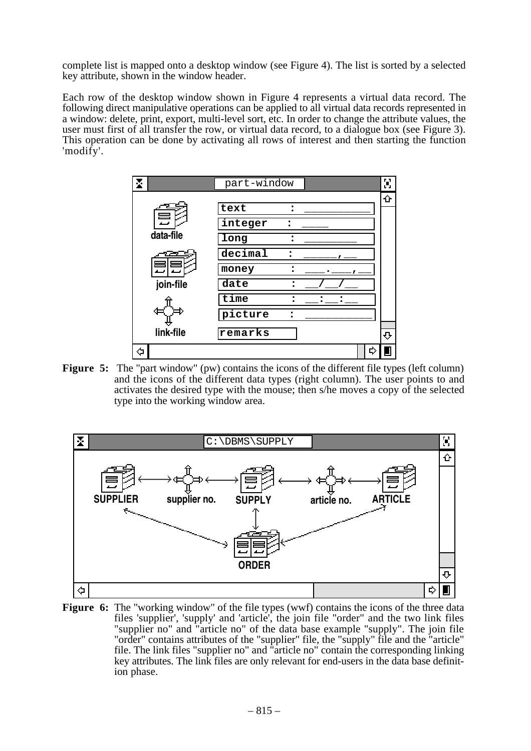complete list is mapped onto a desktop window (see Figure 4). The list is sorted by a selected key attribute, shown in the window header.

Each row of the desktop window shown in Figure 4 represents a virtual data record. The following direct manipulative operations can be applied to all virtual data records represented in a window: delete, print, export, multi-level sort, etc. In order to change the attribute values, the user must first of all transfer the row, or virtual data record, to a dialogue box (see Figure 3). This operation can be done by activating all rows of interest and then starting the function 'modify'.



**Figure 5:** The "part window" (pw) contains the icons of the different file types (left column) and the icons of the different data types (right column). The user points to and activates the desired type with the mouse; then s/he moves a copy of the selected type into the working window area.



**Figure 6:** The "working window" of the file types (wwf) contains the icons of the three data files 'supplier', 'supply' and 'article', the join file "order" and the two link files "supplier no" and "article no" of the data base example "supply". The join file "order" contains attributes of the "supplier" file, the "supply" file and the "article" file. The link files "supplier no" and "article no" contain the corresponding linking key attributes. The link files are only relevant for end-users in the data base definition phase.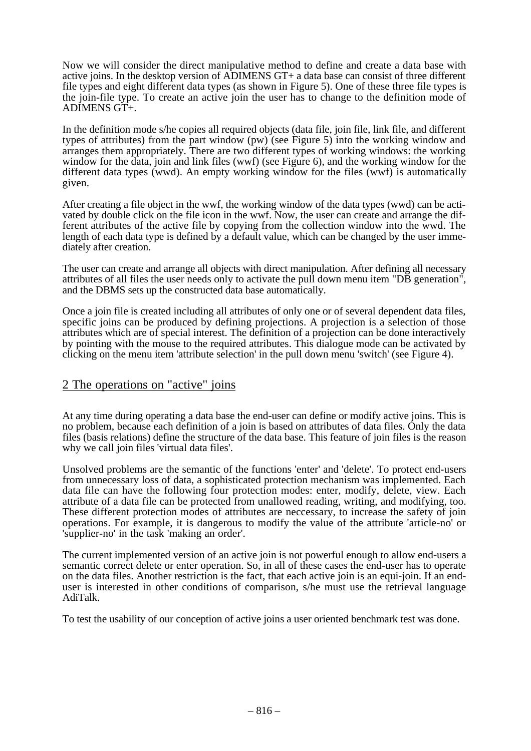Now we will consider the direct manipulative method to define and create a data base with active joins. In the desktop version of ADIMENS GT+ a data base can consist of three different file types and eight different data types (as shown in Figure 5). One of these three file types is the join-file type. To create an active join the user has to change to the definition mode of ADIMENS GT+.

In the definition mode s/he copies all required objects (data file, join file, link file, and different types of attributes) from the part window (pw) (see Figure 5) into the working window and arranges them appropriately. There are two different types of working windows: the working window for the data, join and link files (wwf) (see Figure 6), and the working window for the different data types (wwd). An empty working window for the files (wwf) is automatically given.

After creating a file object in the wwf, the working window of the data types (wwd) can be activated by double click on the file icon in the wwf. Now, the user can create and arrange the different attributes of the active file by copying from the collection window into the wwd. The length of each data type is defined by a default value, which can be changed by the user immediately after creation.

The user can create and arrange all objects with direct manipulation. After defining all necessary attributes of all files the user needs only to activate the pull down menu item "DB generation", and the DBMS sets up the constructed data base automatically.

Once a join file is created including all attributes of only one or of several dependent data files, specific joins can be produced by defining projections. A projection is a selection of those attributes which are of special interest. The definition of a projection can be done interactively by pointing with the mouse to the required attributes. This dialogue mode can be activated by clicking on the menu item 'attribute selection' in the pull down menu 'switch' (see Figure 4).

#### 2 The operations on "active" joins

At any time during operating a data base the end-user can define or modify active joins. This is no problem, because each definition of a join is based on attributes of data files. Only the data files (basis relations) define the structure of the data base. This feature of join files is the reason why we call join files 'virtual data files'.

Unsolved problems are the semantic of the functions 'enter' and 'delete'. To protect end-users from unnecessary loss of data, a sophisticated protection mechanism was implemented. Each data file can have the following four protection modes: enter, modify, delete, view. Each attribute of a data file can be protected from unallowed reading, writing, and modifying, too. These different protection modes of attributes are neccessary, to increase the safety of join operations. For example, it is dangerous to modify the value of the attribute 'article-no' or 'supplier-no' in the task 'making an order'.

The current implemented version of an active join is not powerful enough to allow end-users a semantic correct delete or enter operation. So, in all of these cases the end-user has to operate on the data files. Another restriction is the fact, that each active join is an equi-join. If an enduser is interested in other conditions of comparison, s/he must use the retrieval language AdiTalk.

To test the usability of our conception of active joins a user oriented benchmark test was done.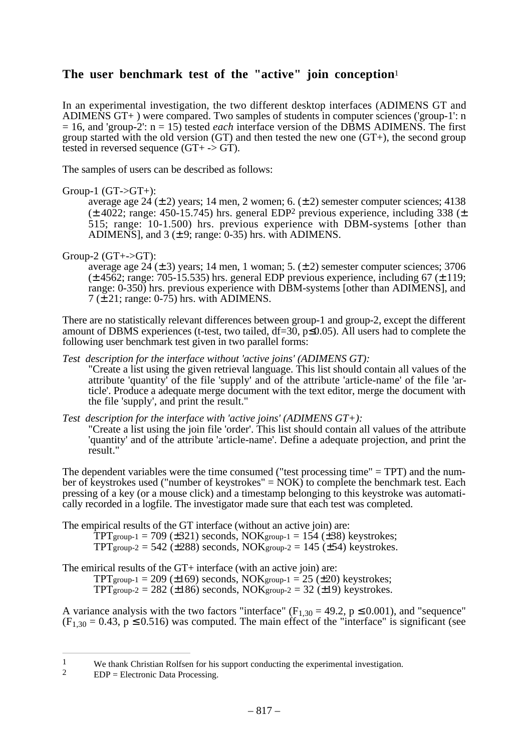### **The user benchmark test of the "active" join conception**<sup>1</sup>

In an experimental investigation, the two different desktop interfaces (ADIMENS GT and ADIMENS GT+ ) were compared. Two samples of students in computer sciences ('group-1': n = 16, and 'group-2': n = 15) tested *each* interface version of the DBMS ADIMENS. The first group started with the old version (GT) and then tested the new one  $(GT<sub>+</sub>)$ , the second group tested in reversed sequence (GT+ -> GT).

The samples of users can be described as follows:

Group-1  $(GT > GT+)$ :

average age  $24 (\pm 2)$  years; 14 men, 2 women; 6.  $(\pm 2)$  semester computer sciences; 4138  $(\pm 4022; \text{ range: } 450 - 15.745)$  hrs. general EDP<sup>2</sup> previous experience, including 338 ( $\pm$ 515; range: 10-1.500) hrs. previous experience with DBM-systems [other than ADIMENS], and  $3 (\pm 9)$ ; range: 0-35) hrs. with ADIMENS.

Group-2  $(GT + \neg GT)$ :

average age  $24 (\pm 3)$  years; 14 men, 1 woman; 5.  $(\pm 2)$  semester computer sciences; 3706  $(\pm 4562; \text{range}; 705-15.535)$  hrs. general EDP previous experience, including 67 ( $\pm 119;$ range: 0-350) hrs. previous experience with DBM-systems [other than ADIMENS], and  $7 \times 21$ ; range: 0-75) hrs. with ADIMENS.

There are no statistically relevant differences between group-1 and group-2, except the different amount of DBMS experiences (t-test, two tailed,  $df=30$ ,  $p\leq 0.05$ ). All users had to complete the following user benchmark test given in two parallel forms:

*Test description for the interface without 'active joins' (ADIMENS GT):* 

"Create a list using the given retrieval language. This list should contain all values of the attribute 'quantity' of the file 'supply' and of the attribute 'article-name' of the file 'article'. Produce a adequate merge document with the text editor, merge the document with the file 'supply', and print the result."

*Test description for the interface with 'active joins' (ADIMENS GT+):* 

"Create a list using the join file 'order'. This list should contain all values of the attribute 'quantity' and of the attribute 'article-name'. Define a adequate projection, and print the result."

The dependent variables were the time consumed ("test processing time" = TPT) and the number of keystrokes used ("number of keystrokes" =  $NOK$ ) to complete the benchmark test. Each pressing of a key (or a mouse click) and a timestamp belonging to this keystroke was automatically recorded in a logfile. The investigator made sure that each test was completed.

The empirical results of the GT interface (without an active join) are:

 $TPT$ group-1 = 709 ( $\pm$ 321) seconds, NOKgroup-1 = 154 ( $\pm$ 38) keystrokes;  $TPT$ group-2 = 542 ( $\pm$ 288) seconds, NOKgroup-2 = 145 ( $\pm$ 54) keystrokes.

The emirical results of the GT+ interface (with an active join) are:

 $TPT$ group-1 = 209 ( $\pm$ 169) seconds, NOKgroup-1 = 25 ( $\pm$ 20) keystrokes;  $TPT$ group-2 = 282 ( $\pm$ 186) seconds, NOKgroup-2 = 32 ( $\pm$ 19) keystrokes.

A variance analysis with the two factors "interface" ( $F_{1,30} = 49.2$ ,  $p \le 0.001$ ), and "sequence"  $(F<sub>1,30</sub> = 0.43, p \le 0.516)$  was computed. The main effect of the "interface" is significant (see

<sup>&</sup>lt;sup>1</sup> We thank Christian Rolfsen for his support conducting the experimental investigation.<br><sup>2</sup> EDP – Electronic Data Processing

 $EDP = Electronic Data Processing.$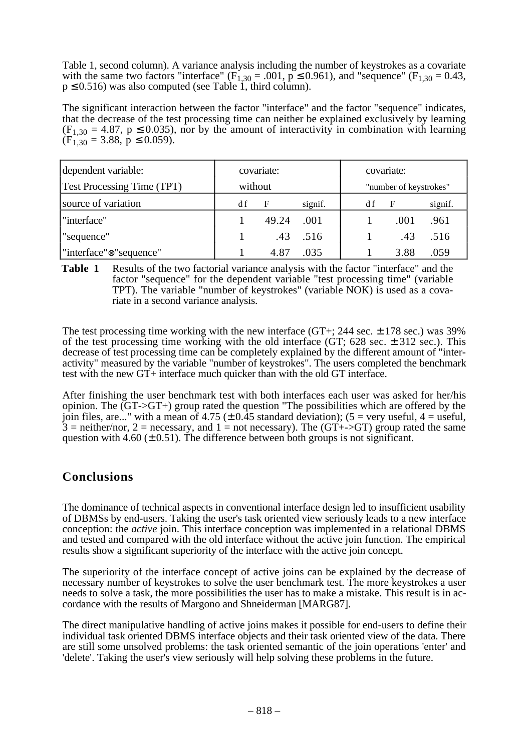Table 1, second column). A variance analysis including the number of keystrokes as a covariate with the same two factors "interface" ( $F_{1,30} = .001$ ,  $p \le 0.961$ ), and "sequence" ( $F_{1,30} = 0.43$ ,  $p \le 0.516$ ) was also computed (see Table 1, third column).

The significant interaction between the factor "interface" and the factor "sequence" indicates, that the decrease of the test processing time can neither be explained exclusively by learning  $(F_{1,30} = 4.87, p \le 0.035)$ , nor by the amount of interactivity in combination with learning  $(F_{1,30} = 3.88, p \le 0.059).$ 

| dependent variable:<br><b>Test Processing Time (TPT)</b> | covariate:<br>without |       | covariate:<br>"number of keystrokes" |     |      |         |
|----------------------------------------------------------|-----------------------|-------|--------------------------------------|-----|------|---------|
| source of variation                                      | d f                   | F     | signif.                              | d f | F    | signif. |
| l "interface"                                            |                       | 49.24 | .001                                 |     | .001 | .961    |
| sequence"                                                |                       | .43   | .516                                 |     | .43  | .516    |
| l''interface'' <sup>®</sup> 'sequence''                  |                       | 4.87  | .035                                 |     | 3.88 | .059    |

**Table 1** Results of the two factorial variance analysis with the factor "interface" and the factor "sequence" for the dependent variable "test processing time" (variable TPT). The variable "number of keystrokes" (variable NOK) is used as a covariate in a second variance analysis.

The test processing time working with the new interface (GT+; 244 sec.  $\pm$  178 sec.) was 39% of the test processing time working with the old interface (GT;  $628$  sec.  $\pm$  312 sec.). This decrease of test processing time can be completely explained by the different amount of "interactivity" measured by the variable "number of keystrokes". The users completed the benchmark test with the new GT+ interface much quicker than with the old GT interface.

After finishing the user benchmark test with both interfaces each user was asked for her/his opinion. The (GT->GT+) group rated the question "The possibilities which are offered by the join files, are..." with a mean of 4.75 ( $\pm$  0.45 standard deviation); (5 = very useful, 4 = useful,  $3 =$  neither/nor,  $2 =$  necessary, and  $1 =$  not necessary). The (GT+->GT) group rated the same question with 4.60 ( $\pm$  0.51). The difference between both groups is not significant.

#### **Conclusions**

The dominance of technical aspects in conventional interface design led to insufficient usability of DBMSs by end-users. Taking the user's task oriented view seriously leads to a new interface conception: the *active* join. This interface conception was implemented in a relational DBMS and tested and compared with the old interface without the active join function. The empirical results show a significant superiority of the interface with the active join concept.

The superiority of the interface concept of active joins can be explained by the decrease of necessary number of keystrokes to solve the user benchmark test. The more keystrokes a user needs to solve a task, the more possibilities the user has to make a mistake. This result is in accordance with the results of Margono and Shneiderman [MARG87].

The direct manipulative handling of active joins makes it possible for end-users to define their individual task oriented DBMS interface objects and their task oriented view of the data. There are still some unsolved problems: the task oriented semantic of the join operations 'enter' and 'delete'. Taking the user's view seriously will help solving these problems in the future.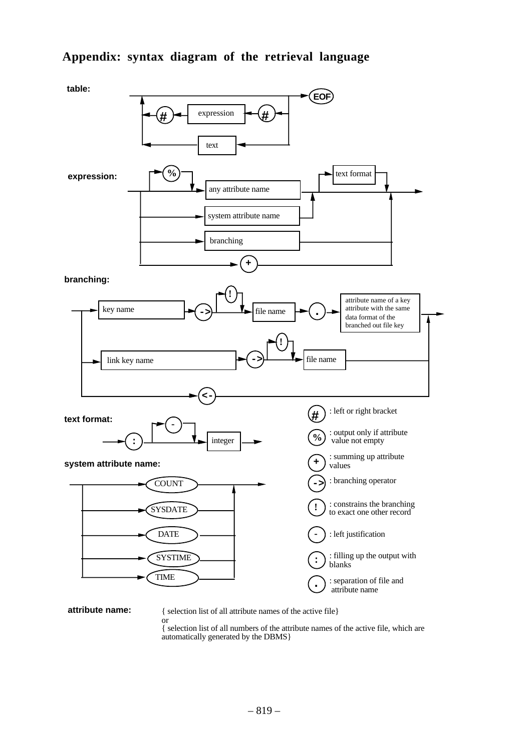### **Appendix: syntax diagram of the retrieval language**



**attribute name:** { selection list of all attribute names of the active file}

or { selection list of all numbers of the attribute names of the active file, which are automatically generated by the DBMS}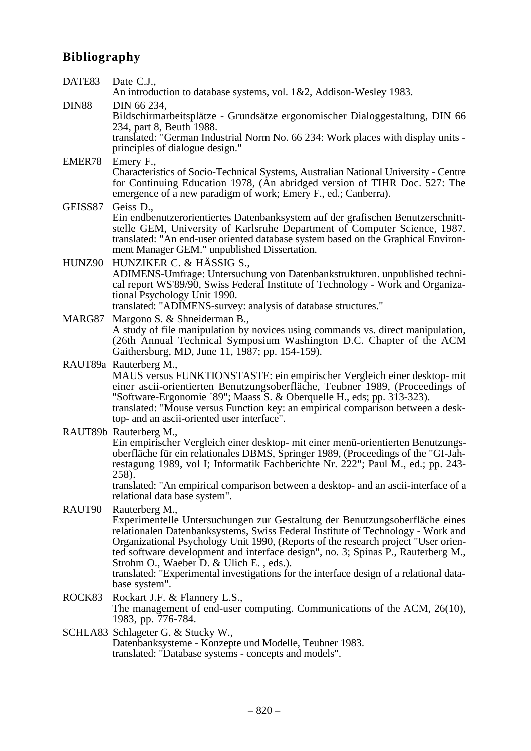# **Bibliography**

| DATE83       | Date C.J.,<br>An introduction to database systems, vol. 1&2, Addison-Wesley 1983.                                                                                                                                                                                                                                                                                                                                                                                                                                                                  |
|--------------|----------------------------------------------------------------------------------------------------------------------------------------------------------------------------------------------------------------------------------------------------------------------------------------------------------------------------------------------------------------------------------------------------------------------------------------------------------------------------------------------------------------------------------------------------|
| <b>DIN88</b> | DIN 66 234,<br>Bildschirmarbeitsplätze - Grundsätze ergonomischer Dialoggestaltung, DIN 66<br>234, part 8, Beuth 1988.<br>translated: "German Industrial Norm No. 66 234: Work places with display units -<br>principles of dialogue design."                                                                                                                                                                                                                                                                                                      |
| EMER78       | Emery F.,<br>Characteristics of Socio-Technical Systems, Australian National University - Centre<br>for Continuing Education 1978, (An abridged version of TIHR Doc. 527: The<br>emergence of a new paradigm of work; Emery F., ed.; Canberra).                                                                                                                                                                                                                                                                                                    |
| GEISS87      | Geiss D.,<br>Ein endbenutzerorientiertes Datenbanksystem auf der grafischen Benutzerschnitt-<br>stelle GEM, University of Karlsruhe Department of Computer Science, 1987.<br>translated: "An end-user oriented database system based on the Graphical Environ-<br>ment Manager GEM." unpublished Dissertation.                                                                                                                                                                                                                                     |
| HUNZ90       | HUNZIKER C. & HÄSSIG S.,<br>ADIMENS-Umfrage: Untersuchung von Datenbankstrukturen. unpublished techni-<br>cal report WS'89/90, Swiss Federal Institute of Technology - Work and Organiza-<br>tional Psychology Unit 1990.<br>translated: "ADIMENS-survey: analysis of database structures."                                                                                                                                                                                                                                                        |
| MARG87       | Margono S. & Shneiderman B.,<br>A study of file manipulation by novices using commands vs. direct manipulation,<br>(26th Annual Technical Symposium Washington D.C. Chapter of the ACM<br>Gaithersburg, MD, June 11, 1987; pp. 154-159).                                                                                                                                                                                                                                                                                                           |
|              | RAUT89a Rauterberg M.,<br>MAUS versus FUNKTIONSTASTE: ein empirischer Vergleich einer desktop- mit<br>einer ascii-orientierten Benutzungsoberfläche, Teubner 1989, (Proceedings of<br>"Software-Ergonomie '89"; Maass S. & Oberquelle H., eds; pp. 313-323).<br>translated: "Mouse versus Function key: an empirical comparison between a desk-<br>top- and an ascii-oriented user interface".                                                                                                                                                     |
|              | RAUT89b Rauterberg M.,<br>Ein empirischer Vergleich einer desktop- mit einer menü-orientierten Benutzungs-<br>oberfläche für ein relationales DBMS, Springer 1989, (Proceedings of the "GI-Jah-<br>restagung 1989, vol I; Informatik Fachberichte Nr. 222"; Paul M., ed.; pp. 243-<br>258).<br>translated: "An empirical comparison between a desktop- and an ascii-interface of a                                                                                                                                                                 |
| RAUT90       | relational data base system".<br>Rauterberg M.,<br>Experimentelle Untersuchungen zur Gestaltung der Benutzungsoberfläche eines<br>relationalen Datenbanksystems, Swiss Federal Institute of Technology - Work and<br>Organizational Psychology Unit 1990, (Reports of the research project "User orien-<br>ted software development and interface design", no. 3; Spinas P., Rauterberg M.,<br>Strohm O., Waeber D. & Ulich E., eds.).<br>translated: "Experimental investigations for the interface design of a relational data-<br>base system". |
| ROCK83       | Rockart J.F. & Flannery L.S.,<br>The management of end-user computing. Communications of the ACM, 26(10),<br>1983, pp. 776-784.                                                                                                                                                                                                                                                                                                                                                                                                                    |
|              | SCHLA83 Schlageter G. & Stucky W.,<br>Datenbanksysteme - Konzepte und Modelle, Teubner 1983.<br>translated: "Database systems - concepts and models".                                                                                                                                                                                                                                                                                                                                                                                              |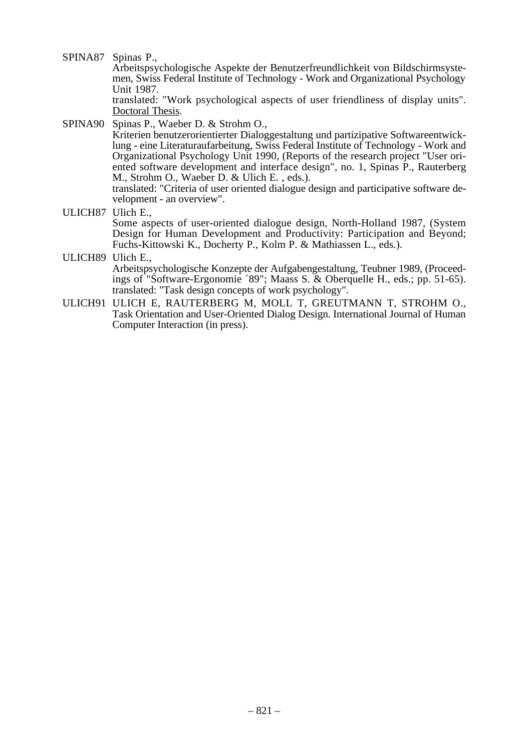SPINA87 Spinas P.,

Arbeitspsychologische Aspekte der Benutzerfreundlichkeit von Bildschirmsystemen, Swiss Federal Institute of Technology - Work and Organizational Psychology Unit 1987.

translated: "Work psychological aspects of user friendliness of display units". Doctoral Thesis.

SPINA90 Spinas P., Waeber D. & Strohm O.,

Kriterien benutzerorientierter Dialoggestaltung und partizipative Softwareentwicklung - eine Literaturaufarbeitung, Swiss Federal Institute of Technology - Work and Organizational Psychology Unit 1990, (Reports of the research project "User oriented software development and interface design", no. 1, Spinas P., Rauterberg M., Strohm O., Waeber D. & Ulich E. , eds.).

translated: "Criteria of user oriented dialogue design and participative software development - an overview".

- ULICH87 Ulich E., Some aspects of user-oriented dialogue design, North-Holland 1987, (System Design for Human Development and Productivity: Participation and Beyond; Fuchs-Kittowski K., Docherty P., Kolm P. & Mathiassen L., eds.).
- ULICH89 Ulich E., Arbeitspsychologische Konzepte der Aufgabengestaltung, Teubner 1989, (Proceedings of "Software-Ergonomie ´89"; Maass S. & Oberquelle H., eds.; pp. 51-65). translated: "Task design concepts of work psychology".
- ULICH91 ULICH E, RAUTERBERG M, MOLL T, GREUTMANN T, STROHM O., Task Orientation and User-Oriented Dialog Design. International Journal of Human Computer Interaction (in press).